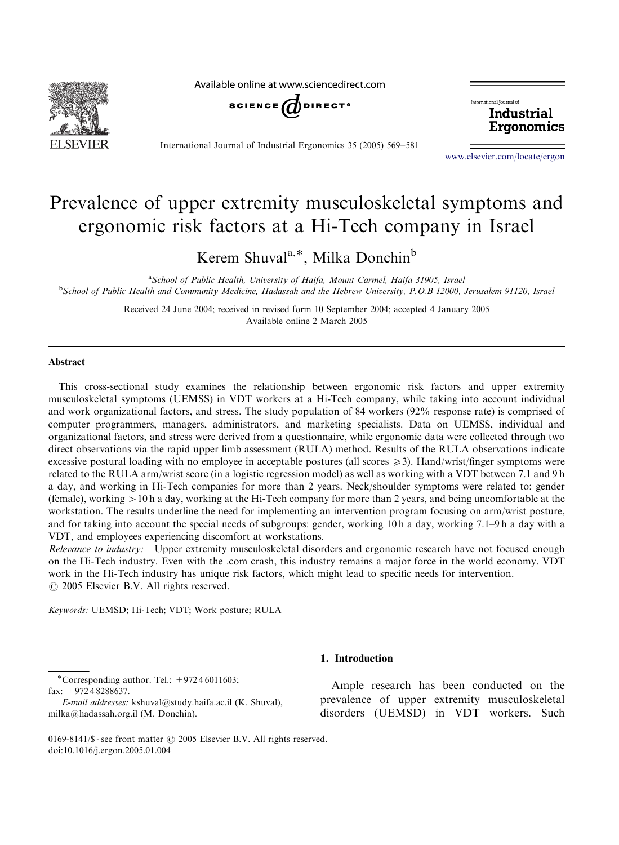

Available online at www.sciencedirect.com



International fournal of Industrial Ergonomics

International Journal of Industrial Ergonomics 35 (2005) 569–581

<www.elsevier.com/locate/ergon>

## Prevalence of upper extremity musculoskeletal symptoms and ergonomic risk factors at a Hi-Tech company in Israel

Kerem Shuval<sup>a,\*</sup>, Milka Donchin<sup>b</sup>

<sup>a</sup> School of Public Health, University of Haifa, Mount Carmel, Haifa 31905, Israel **School of Public Health and Community Medicine, Hadassah and the Hebrew University, P.O.B 12000, Jerusalem 91120, Israel** 

> Received 24 June 2004; received in revised form 10 September 2004; accepted 4 January 2005 Available online 2 March 2005

#### Abstract

This cross-sectional study examines the relationship between ergonomic risk factors and upper extremity musculoskeletal symptoms (UEMSS) in VDT workers at a Hi-Tech company, while taking into account individual and work organizational factors, and stress. The study population of 84 workers (92% response rate) is comprised of computer programmers, managers, administrators, and marketing specialists. Data on UEMSS, individual and organizational factors, and stress were derived from a questionnaire, while ergonomic data were collected through two direct observations via the rapid upper limb assessment (RULA) method. Results of the RULA observations indicate excessive postural loading with no employee in acceptable postures (all scores  $\geq$ 3). Hand/wrist/finger symptoms were related to the RULA arm/wrist score (in a logistic regression model) as well as working with a VDT between 7.1 and 9 h a day, and working in Hi-Tech companies for more than 2 years. Neck/shoulder symptoms were related to: gender (female), working  $>10$  h a day, working at the Hi-Tech company for more than 2 years, and being uncomfortable at the workstation. The results underline the need for implementing an intervention program focusing on arm/wrist posture, and for taking into account the special needs of subgroups: gender, working 10 h a day, working 7.1–9 h a day with a VDT, and employees experiencing discomfort at workstations.

Relevance to industry: Upper extremity musculoskeletal disorders and ergonomic research have not focused enough on the Hi-Tech industry. Even with the .com crash, this industry remains a major force in the world economy. VDT work in the Hi-Tech industry has unique risk factors, which might lead to specific needs for intervention.  $\odot$  2005 Elsevier B.V. All rights reserved.

Keywords: UEMSD; Hi-Tech; VDT; Work posture; RULA

\*Corresponding author. Tel.:  $+97246011603$ ; fax: +972 4 8288637.

E-mail addresses: kshuval@study.haifa.ac.il (K. Shuval), milka@hadassah.org.il (M. Donchin).

### 1. Introduction

Ample research has been conducted on the prevalence of upper extremity musculoskeletal disorders (UEMSD) in VDT workers. Such

0169-8141/\$ - see front matter  $\odot$  2005 Elsevier B.V. All rights reserved. doi:10.1016/j.ergon.2005.01.004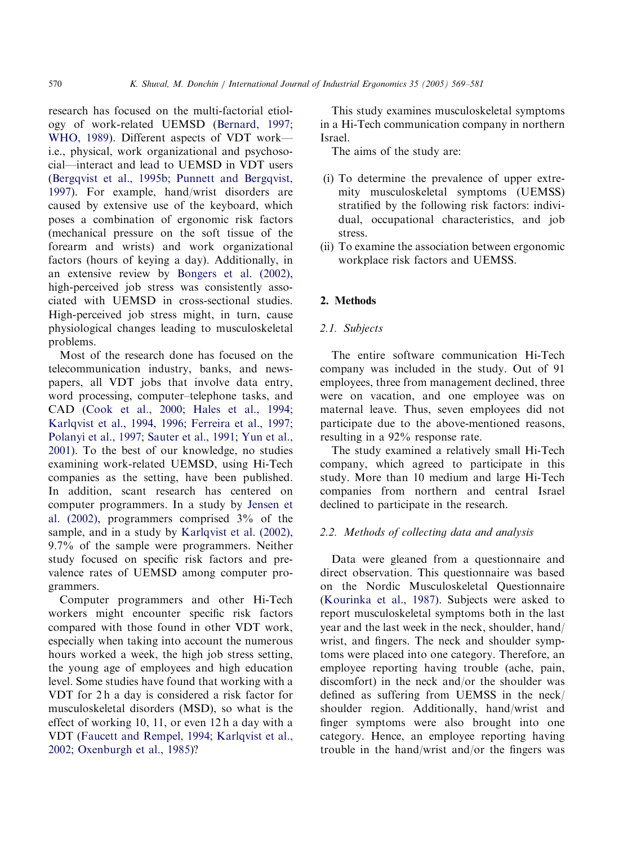research has focused on the multi-factorial etiology of work-related UEMSD ([Bernard, 1997](#page--1-0); [WHO, 1989\)](#page--1-0). Different aspects of VDT work i.e., physical, work organizational and psychosocial—interact and lead to UEMSD in VDT users ([Bergqvist et al., 1995b](#page--1-0); [Punnett and Bergqvist,](#page--1-0) [1997](#page--1-0)). For example, hand/wrist disorders are caused by extensive use of the keyboard, which poses a combination of ergonomic risk factors (mechanical pressure on the soft tissue of the forearm and wrists) and work organizational factors (hours of keying a day). Additionally, in an extensive review by [Bongers et al. \(2002\)](#page--1-0), high-perceived job stress was consistently associated with UEMSD in cross-sectional studies. High-perceived job stress might, in turn, cause physiological changes leading to musculoskeletal problems.

Most of the research done has focused on the telecommunication industry, banks, and newspapers, all VDT jobs that involve data entry, word processing, computer–telephone tasks, and CAD ([Cook et al., 2000](#page--1-0); [Hales et al., 1994](#page--1-0); [Karlqvist et al., 1994, 1996;](#page--1-0) [Ferreira et al., 1997](#page--1-0); [Polanyi et al., 1997](#page--1-0); [Sauter et al., 1991;](#page--1-0) [Yun et al.,](#page--1-0) [2001](#page--1-0)). To the best of our knowledge, no studies examining work-related UEMSD, using Hi-Tech companies as the setting, have been published. In addition, scant research has centered on computer programmers. In a study by [Jensen et](#page--1-0) [al. \(2002\),](#page--1-0) programmers comprised 3% of the sample, and in a study by [Karlqvist et al. \(2002\)](#page--1-0), 9.7% of the sample were programmers. Neither study focused on specific risk factors and prevalence rates of UEMSD among computer programmers.

Computer programmers and other Hi-Tech workers might encounter specific risk factors compared with those found in other VDT work, especially when taking into account the numerous hours worked a week, the high job stress setting, the young age of employees and high education level. Some studies have found that working with a VDT for 2 h a day is considered a risk factor for musculoskeletal disorders (MSD), so what is the effect of working 10, 11, or even 12 h a day with a VDT [\(Faucett and Rempel, 1994;](#page--1-0) [Karlqvist et al.,](#page--1-0) [2002](#page--1-0); [Oxenburgh et al., 1985](#page--1-0))?

This study examines musculoskeletal symptoms in a Hi-Tech communication company in northern Israel.

The aims of the study are:

- (i) To determine the prevalence of upper extremity musculoskeletal symptoms (UEMSS) stratified by the following risk factors: individual, occupational characteristics, and job stress.
- (ii) To examine the association between ergonomic workplace risk factors and UEMSS.

#### 2. Methods

#### 2.1. Subjects

The entire software communication Hi-Tech company was included in the study. Out of 91 employees, three from management declined, three were on vacation, and one employee was on maternal leave. Thus, seven employees did not participate due to the above-mentioned reasons, resulting in a 92% response rate.

The study examined a relatively small Hi-Tech company, which agreed to participate in this study. More than 10 medium and large Hi-Tech companies from northern and central Israel declined to participate in the research.

#### 2.2. Methods of collecting data and analysis

Data were gleaned from a questionnaire and direct observation. This questionnaire was based on the Nordic Musculoskeletal Questionnaire ([Kourinka et al., 1987\)](#page--1-0). Subjects were asked to report musculoskeletal symptoms both in the last year and the last week in the neck, shoulder, hand/ wrist, and fingers. The neck and shoulder symptoms were placed into one category. Therefore, an employee reporting having trouble (ache, pain, discomfort) in the neck and/or the shoulder was defined as suffering from UEMSS in the neck/ shoulder region. Additionally, hand/wrist and finger symptoms were also brought into one category. Hence, an employee reporting having trouble in the hand/wrist and/or the fingers was